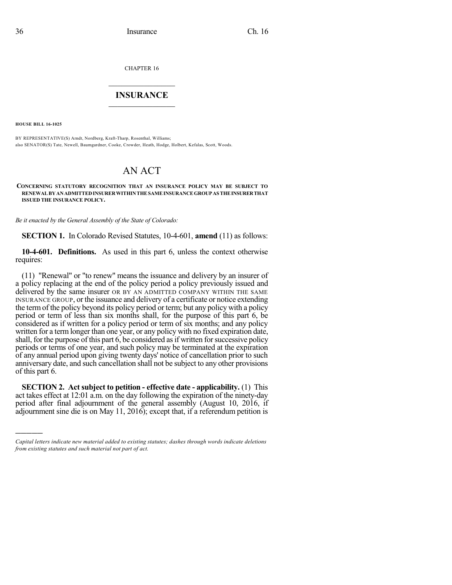CHAPTER 16

## $\mathcal{L}_\text{max}$  . The set of the set of the set of the set of the set of the set of the set of the set of the set of the set of the set of the set of the set of the set of the set of the set of the set of the set of the set **INSURANCE**  $\frac{1}{2}$  ,  $\frac{1}{2}$  ,  $\frac{1}{2}$  ,  $\frac{1}{2}$  ,  $\frac{1}{2}$  ,  $\frac{1}{2}$  ,  $\frac{1}{2}$

**HOUSE BILL 16-1025**

)))))

BY REPRESENTATIVE(S) Arndt, Nordberg, Kraft-Tharp, Rosenthal, Williams; also SENATOR(S) Tate, Newell, Baumgardner, Cooke, Crowder, Heath, Hodge, Holbert, Kefalas, Scott, Woods.

## AN ACT

## **CONCERNING STATUTORY RECOGNITION THAT AN INSURANCE POLICY MAY BE SUBJECT TO RENEWALBYANADMITTEDINSURERWITHINTHESAMEINSURANCEGROUPAS THEINSURERTHAT ISSUED THE INSURANCE POLICY.**

*Be it enacted by the General Assembly of the State of Colorado:*

**SECTION 1.** In Colorado Revised Statutes, 10-4-601, **amend** (11) as follows:

**10-4-601. Definitions.** As used in this part 6, unless the context otherwise requires:

(11) "Renewal" or "to renew" means the issuance and delivery by an insurer of a policy replacing at the end of the policy period a policy previously issued and delivered by the same insurer OR BY AN ADMITTED COMPANY WITHIN THE SAME INSURANCE GROUP, or the issuance and delivery of a certificate or notice extending the termof the policy beyond its policy period or term; but any policy with a policy period or term of less than six months shall, for the purpose of this part 6, be considered as if written for a policy period or term of six months; and any policy written for a term longer than one year, or any policy with no fixed expiration date, shall, for the purpose of this part 6, be considered as if written for successive policy periods or terms of one year, and such policy may be terminated at the expiration of any annual period upon giving twenty days' notice of cancellation prior to such anniversary date, and such cancellation shall not be subject to any other provisions of this part 6.

**SECTION 2. Act subject to petition - effective date - applicability.** (1) This act takes effect at 12:01 a.m. on the day following the expiration of the ninety-day period after final adjournment of the general assembly (August 10, 2016, if adjournment sine die is on May 11, 2016); except that, if a referendum petition is

*Capital letters indicate new material added to existing statutes; dashes through words indicate deletions from existing statutes and such material not part of act.*